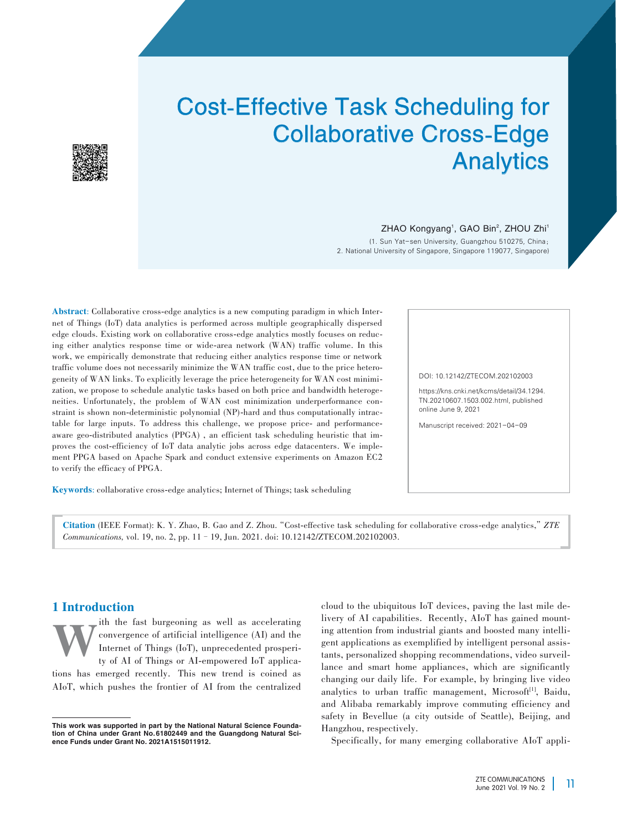# Cost-Effective Task Scheduling for Collaborative Cross-Edge **Analytics**



#### ZHAO Kongyang<sup>1</sup>, GAO Bin<sup>2</sup>, ZHOU Zhi<sup>1</sup>

(1. Sun Yat-sen University, Guangzhou 510275, China; 2. National University of Singapore, Singapore 119077, Singapore)

Abstract: Collaborative cross-edge analytics is a new computing paradigm in which Internet of Things (IoT) data analytics is performed across multiple geographically dispersed edge clouds. Existing work on collaborative cross-edge analytics mostly focuses on reducing either analytics response time or wide-area network (WAN) traffic volume. In this work, we empirically demonstrate that reducing either analytics response time or network traffic volume does not necessarily minimize the WAN traffic cost, due to the price heterogeneity of WAN links. To explicitly leverage the price heterogeneity for WAN cost minimization, we propose to schedule analytic tasks based on both price and bandwidth heterogeneities. Unfortunately, the problem of WAN cost minimization underperformance constraint is shown non-deterministic polynomial (NP)-hard and thus computationally intractable for large inputs. To address this challenge, we propose price- and performanceaware geo-distributed analytics (PPGA), an efficient task scheduling heuristic that improves the cost-efficiency of IoT data analytic jobs across edge datacenters. We implement PPGA based on Apache Spark and conduct extensive experiments on Amazon EC2 to verify the efficacy of PPGA.

Keywords: collaborative cross-edge analytics; Internet of Things; task scheduling

*Communications,* vol. 19, no. 2, pp. 11–19, Jun. 2021. doi: 10.12142/ZTECOM.202102003.

Citation (IEEE Format): K. Y. Zhao, B. Gao and Z. Zhou."Cost-effective task scheduling for collaborative cross-edge analytics,"*ZTE*

DOI: 10.12142/ZTECOM.202102003

https://kns.cnki.net/kcms/detail/34.1294. TN.20210607.1503.002.html, published online June 9, 2021

Manuscript received: 2021-04-09

# 1 Introduction

The fast burgeoning as well as accelerating<br>convergence of artificial intelligence (AI) and the<br>Internet of Things (IoT), unprecedented prosperi-<br>ty of AI of Things or AI-empowered IoT applicaconvergence of artificial intelligence (AI) and the Internet of Things (IoT), unprecedented prosperi‑ ty of AI of Things or AI-empowered IoT applications has emerged recently. This new trend is coined as AIoT, which pushes the frontier of AI from the centralized cloud to the ubiquitous IoT devices, paving the last mile de‑ livery of AI capabilities. Recently, AIoT has gained mounting attention from industrial giants and boosted many intelligent applications as exemplified by intelligent personal assistants, personalized shopping recommendations, video surveillance and smart home appliances, which are significantly changing our daily life. For example, by bringing live video analytics to urban traffic management, Microsoft<sup>[1]</sup>, Baidu, and Alibaba remarkably improve commuting efficiency and safety in Bevellue (a city outside of Seattle), Beijing, and Hangzhou, respectively.

Specifically, for many emerging collaborative AIoT appli-

This work was supported in part by the National Natural Science Foundation of China under Grant No.61802449 and the Guangdong Natural Science Funds under Grant No. 2021A1515011912.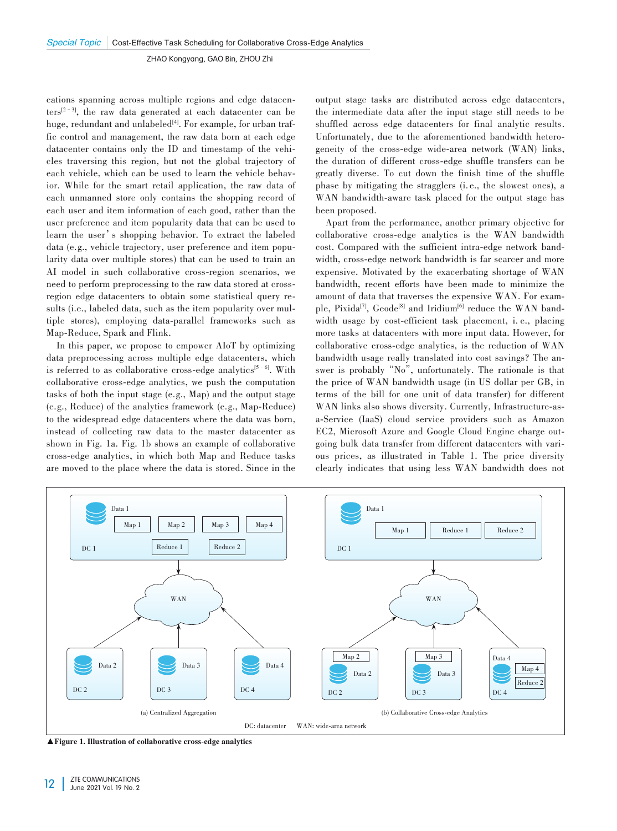cations spanning across multiple regions and edge datacenters[2–3] , the raw data generated at each datacenter can be huge, redundant and unlabeled<sup>[4]</sup>. For example, for urban traffic control and management, the raw data born at each edge datacenter contains only the ID and timestamp of the vehicles traversing this region, but not the global trajectory of each vehicle, which can be used to learn the vehicle behavior. While for the smart retail application, the raw data of each unmanned store only contains the shopping record of each user and item information of each good, rather than the user preference and item popularity data that can be used to learn the user's shopping behavior. To extract the labeled data (e.g., vehicle trajectory, user preference and item popularity data over multiple stores) that can be used to train an AI model in such collaborative cross-region scenarios, we need to perform preprocessing to the raw data stored at crossregion edge datacenters to obtain some statistical query results (i.e., labeled data, such as the item popularity over multiple stores), employing data-parallel frameworks such as Map-Reduce, Spark and Flink.

In this paper, we propose to empower AIoT by optimizing data preprocessing across multiple edge datacenters, which is referred to as collaborative cross-edge analytics<sup>[5-6]</sup>. With collaborative cross-edge analytics, we push the computation tasks of both the input stage (e.g., Map) and the output stage (e.g., Reduce) of the analytics framework (e.g., Map-Reduce) to the widespread edge datacenters where the data was born, instead of collecting raw data to the master datacenter as shown in Fig. 1a. Fig. 1b shows an example of collaborative cross-edge analytics, in which both Map and Reduce tasks are moved to the place where the data is stored. Since in the output stage tasks are distributed across edge datacenters, the intermediate data after the input stage still needs to be shuffled across edge datacenters for final analytic results. Unfortunately, due to the aforementioned bandwidth heterogeneity of the cross-edge wide-area network (WAN) links, the duration of different cross-edge shuffle transfers can be greatly diverse. To cut down the finish time of the shuffle phase by mitigating the stragglers (i. e., the slowest ones), a WAN bandwidth-aware task placed for the output stage has been proposed.

Apart from the performance, another primary objective for collaborative cross-edge analytics is the WAN bandwidth cost. Compared with the sufficient intra-edge network bandwidth, cross-edge network bandwidth is far scarcer and more expensive. Motivated by the exacerbating shortage of WAN bandwidth, recent efforts have been made to minimize the amount of data that traverses the expensive WAN. For example, Pixida<sup>[7]</sup>, Geode<sup>[8]</sup> and Iridium<sup>[6]</sup> reduce the WAN bandwidth usage by cost-efficient task placement, i. e., placing more tasks at datacenters with more input data. However, for collaborative cross-edge analytics, is the reduction of WAN bandwidth usage really translated into cost savings? The answer is probably"No", unfortunately. The rationale is that the price of WAN bandwidth usage (in US dollar per GB, in terms of the bill for one unit of data transfer) for different WAN links also shows diversity. Currently, Infrastructure-asa-Service (IaaS) cloud service providers such as Amazon EC2, Microsoft Azure and Google Cloud Engine charge outgoing bulk data transfer from different datacenters with various prices, as illustrated in Table 1. The price diversity clearly indicates that using less WAN bandwidth does not



▲Figure 1. Illustration of collaborative cross-edge analytics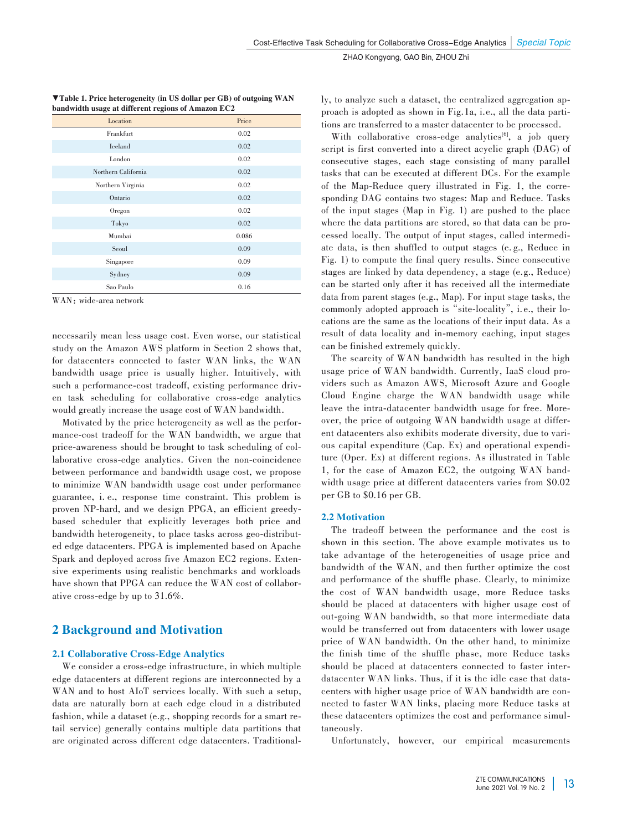| ▼Table 1. Price heterogeneity (in US dollar per GB) of outgoing WAN |  |
|---------------------------------------------------------------------|--|
| bandwidth usage at different regions of Amazon EC2                  |  |

| Location            | Price |
|---------------------|-------|
| Frankfurt           | 0.02  |
| Iceland             | 0.02  |
| London              | 0.02  |
| Northern California | 0.02  |
| Northern Virginia   | 0.02  |
| Ontario             | 0.02  |
| Oregon              | 0.02  |
| Tokyo               | 0.02  |
| Mumbai              | 0.086 |
| Seoul               | 0.09  |
| Singapore           | 0.09  |
| Sydney              | 0.09  |
| Sao Paulo           | 0.16  |

WAN: wide-area network

necessarily mean less usage cost. Even worse, our statistical study on the Amazon AWS platform in Section 2 shows that, for datacenters connected to faster WAN links, the WAN bandwidth usage price is usually higher. Intuitively, with such a performance-cost tradeoff, existing performance driven task scheduling for collaborative cross-edge analytics would greatly increase the usage cost of WAN bandwidth.

Motivated by the price heterogeneity as well as the performance-cost tradeoff for the WAN bandwidth, we argue that price-awareness should be brought to task scheduling of collaborative cross-edge analytics. Given the non-coincidence between performance and bandwidth usage cost, we propose to minimize WAN bandwidth usage cost under performance guarantee, i. e., response time constraint. This problem is proven NP-hard, and we design PPGA, an efficient greedybased scheduler that explicitly leverages both price and bandwidth heterogeneity, to place tasks across geo-distributed edge datacenters. PPGA is implemented based on Apache Spark and deployed across five Amazon EC2 regions. Extensive experiments using realistic benchmarks and workloads have shown that PPGA can reduce the WAN cost of collaborative cross-edge by up to 31.6%.

# 2 Background and Motivation

## 2.1 Collaborative Cross-Edge Analytics

We consider a cross-edge infrastructure, in which multiple edge datacenters at different regions are interconnected by a WAN and to host AIoT services locally. With such a setup, data are naturally born at each edge cloud in a distributed fashion, while a dataset (e.g., shopping records for a smart retail service) generally contains multiple data partitions that are originated across different edge datacenters. Traditionally, to analyze such a dataset, the centralized aggregation approach is adopted as shown in Fig.1a, i.e., all the data partitions are transferred to a master datacenter to be processed.

With collaborative cross-edge analytics<sup>[6]</sup>, a job query script is first converted into a direct acyclic graph (DAG) of consecutive stages, each stage consisting of many parallel tasks that can be executed at different DCs. For the example of the Map-Reduce query illustrated in Fig. 1, the corresponding DAG contains two stages: Map and Reduce. Tasks of the input stages (Map in Fig. 1) are pushed to the place where the data partitions are stored, so that data can be processed locally. The output of input stages, called intermediate data, is then shuffled to output stages (e. g., Reduce in Fig. 1) to compute the final query results. Since consecutive stages are linked by data dependency, a stage (e.g., Reduce) can be started only after it has received all the intermediate data from parent stages (e.g., Map). For input stage tasks, the commonly adopted approach is "site-locality", i.e., their locations are the same as the locations of their input data. As a result of data locality and in-memory caching, input stages can be finished extremely quickly.

The scarcity of WAN bandwidth has resulted in the high usage price of WAN bandwidth. Currently, IaaS cloud providers such as Amazon AWS, Microsoft Azure and Google Cloud Engine charge the WAN bandwidth usage while leave the intra-datacenter bandwidth usage for free. Moreover, the price of outgoing WAN bandwidth usage at different datacenters also exhibits moderate diversity, due to various capital expenditure (Cap. Ex) and operational expenditure (Oper. Ex) at different regions. As illustrated in Table 1, for the case of Amazon EC2, the outgoing WAN bandwidth usage price at different datacenters varies from \$0.02 per GB to \$0.16 per GB.

#### 2.2 Motivation

The tradeoff between the performance and the cost is shown in this section. The above example motivates us to take advantage of the heterogeneities of usage price and bandwidth of the WAN, and then further optimize the cost and performance of the shuffle phase. Clearly, to minimize the cost of WAN bandwidth usage, more Reduce tasks should be placed at datacenters with higher usage cost of out-going WAN bandwidth, so that more intermediate data would be transferred out from datacenters with lower usage price of WAN bandwidth. On the other hand, to minimize the finish time of the shuffle phase, more Reduce tasks should be placed at datacenters connected to faster interdatacenter WAN links. Thus, if it is the idle case that datacenters with higher usage price of WAN bandwidth are connected to faster WAN links, placing more Reduce tasks at these datacenters optimizes the cost and performance simultaneously.

Unfortunately, however, our empirical measurements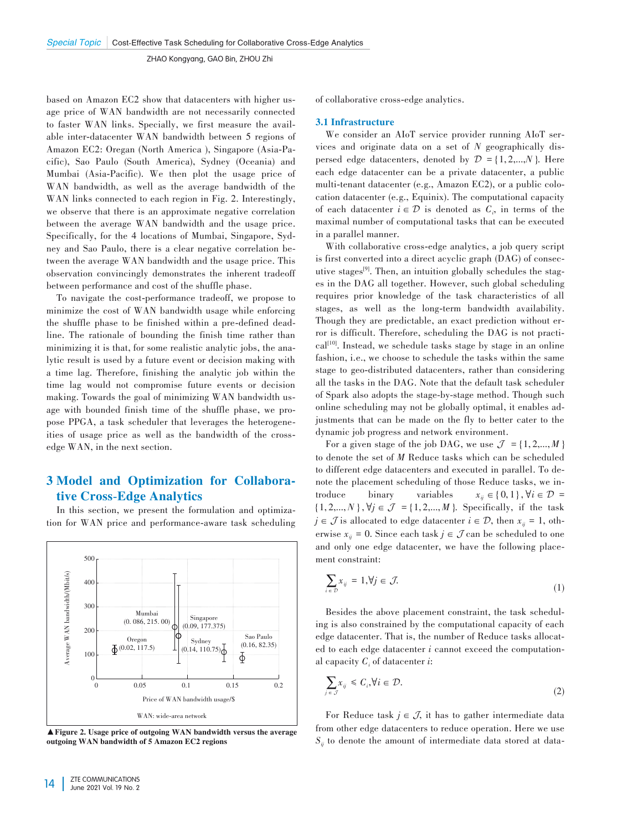based on Amazon EC2 show that datacenters with higher usage price of WAN bandwidth are not necessarily connected to faster WAN links. Specially, we first measure the available inter-datacenter WAN bandwidth between 5 regions of Amazon EC2: Oregan (North America), Singapore (Asia-Pacific), Sao Paulo (South America), Sydney (Oceania) and Mumbai (Asia-Pacific). We then plot the usage price of WAN bandwidth, as well as the average bandwidth of the WAN links connected to each region in Fig. 2. Interestingly, we observe that there is an approximate negative correlation between the average WAN bandwidth and the usage price. Specifically, for the 4 locations of Mumbai, Singapore, Sydney and Sao Paulo, there is a clear negative correlation between the average WAN bandwidth and the usage price. This observation convincingly demonstrates the inherent tradeoff between performance and cost of the shuffle phase.

To navigate the cost-performance tradeoff, we propose to minimize the cost of WAN bandwidth usage while enforcing the shuffle phase to be finished within a pre-defined deadline. The rationale of bounding the finish time rather than minimizing it is that, for some realistic analytic jobs, the analytic result is used by a future event or decision making with a time lag. Therefore, finishing the analytic job within the time lag would not compromise future events or decision making. Towards the goal of minimizing WAN bandwidth usage with bounded finish time of the shuffle phase, we propose PPGA, a task scheduler that leverages the heterogeneities of usage price as well as the bandwidth of the crossedge WAN, in the next section.

# 3 Model and Optimization for Collabora⁃ tive Cross-Edge Analytics

In this section, we present the formulation and optimization for WAN price and performance-aware task scheduling



▲Figure 2. Usage price of outgoing WAN bandwidth versus the average outgoing WAN bandwidth of 5 Amazon EC2 regions

of collaborative cross-edge analytics.

#### 3.1 Infrastructure

We consider an AIoT service provider running AIoT services and originate data on a set of *N* geographically dis‑ persed edge datacenters, denoted by  $\mathcal{D} = \{1, 2, \ldots, N\}$ . Here each edge datacenter can be a private datacenter, a public multi-tenant datacenter (e.g., Amazon EC2), or a public colocation datacenter (e.g., Equinix). The computational capacity of each datacenter  $i \in \mathcal{D}$  is denoted as  $C_i$ , in terms of the maximal number of computational tasks that can be executed in a parallel manner.

With collaborative cross-edge analytics, a job query script is first converted into a direct acyclic graph (DAG) of consecutive stages<sup>[9]</sup>. Then, an intuition globally schedules the stages in the DAG all together. However, such global scheduling requires prior knowledge of the task characteristics of all stages, as well as the long-term bandwidth availability. Though they are predictable, an exact prediction without error is difficult. Therefore, scheduling the DAG is not practical<sup>[10]</sup>. Instead, we schedule tasks stage by stage in an online fashion, i.e., we choose to schedule the tasks within the same stage to geo-distributed datacenters, rather than considering all the tasks in the DAG. Note that the default task scheduler of Spark also adopts the stage‑by‑stage method. Though such online scheduling may not be globally optimal, it enables adjustments that can be made on the fly to better cater to the dynamic job progress and network environment.

For a given stage of the job DAG, we use  $\mathcal{J} = \{1, 2, ..., M\}$ to denote the set of *M* Reduce tasks which can be scheduled to different edge datacenters and executed in parallel. To denote the placement scheduling of those Reduce tasks, we introduce binary variables  $x_{ii} \in \{0,1\}$ ,  $\forall i \in \mathcal{D}$  $x_{ii} \in \{0, 1\}, \forall i \in \mathcal{D}$  =  $\{1, 2,..., N\}, \forall j \in \mathcal{J} = \{1, 2,..., M\}.$  Specifically, if the task *j* ∈ *J* is allocated to edge datacenter *i* ∈ *D*, then  $x_{ii}$  = 1, oth– erwise  $x_{ii} = 0$ . Since each task  $j \in \mathcal{J}$  can be scheduled to one and only one edge datacenter, we have the following placement constraint:

$$
\sum_{i \in \mathcal{D}} x_{ij} = 1, \forall j \in \mathcal{J}.
$$
 (1)

Besides the above placement constraint, the task scheduling is also constrained by the computational capacity of each edge datacenter. That is, the number of Reduce tasks allocated to each edge datacenter *i* cannot exceed the computational capacity *Ci* of datacenter *i*:

$$
\sum_{j \in \mathcal{J}} x_{ij} \leq C_i, \forall i \in \mathcal{D}.\tag{2}
$$

For Reduce task  $j \in \mathcal{J}$ , it has to gather intermediate data from other edge datacenters to reduce operation. Here we use  $S_{ii}$  to denote the amount of intermediate data stored at data–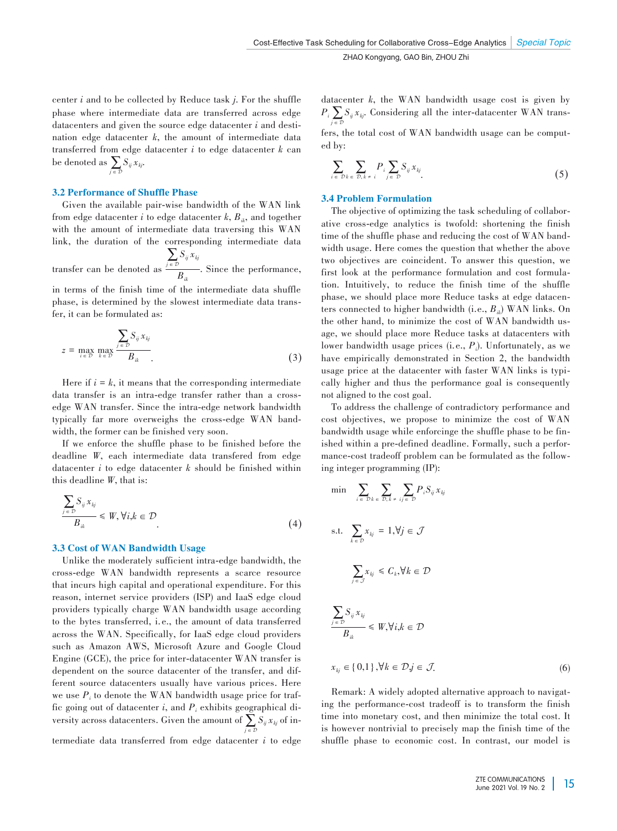center *i* and to be collected by Reduce task *j*. For the shuffle phase where intermediate data are transferred across edge datacenters and given the source edge datacenter *i* and destination edge datacenter *k*, the amount of intermediate data transferred from edge datacenter *i* to edge datacenter *k* can be denoted as  $\sum_{j \in \mathcal{D}} S_{ij} x_{kj}$ .

#### 3.2 Performance of Shuffle Phase

Given the available pair-wise bandwidth of the WAN link from edge datacenter *i* to edge datacenter  $k$ ,  $B_{ik}$ , and together with the amount of intermediate data traversing this WAN link, the duration of the corresponding intermediate data  $\sum_{j \in \mathcal{D}} S_{ij} x_{kj}$ 

transfer can be denoted as  $\overline{B_{ik}}$ . Since the performance,

in terms of the finish time of the intermediate data shuffle phase, is determined by the slowest intermediate data transfer, it can be formulated as:

$$
z = \max_{i \in \mathcal{D}} \max_{k \in \mathcal{D}} \frac{\sum_{j \in \mathcal{D}} S_{ij} x_{kj}}{B_{ik}}.
$$
 (3)

Here if  $i = k$ , it means that the corresponding intermediate data transfer is an intra-edge transfer rather than a crossedge WAN transfer. Since the intra-edge network bandwidth typically far more overweighs the cross-edge WAN bandwidth, the former can be finished very soon.

If we enforce the shuffle phase to be finished before the deadline *W*, each intermediate data transfered from edge datacenter *i* to edge datacenter *k* should be finished within this deadline *W*, that is:

$$
\frac{\sum_{j \in \mathcal{D}} S_{ij} x_{kj}}{B_{ik}} \le W, \forall i, k \in \mathcal{D}
$$
\n
$$
(4)
$$

#### 3.3 Cost of WAN Bandwidth Usage

Unlike the moderately sufficient intra-edge bandwidth, the cross-edge WAN bandwidth represents a scarce resource that incurs high capital and operational expenditure. For this reason, internet service providers (ISP) and IaaS edge cloud providers typically charge WAN bandwidth usage according to the bytes transferred, i. e., the amount of data transferred across the WAN. Specifically, for IaaS edge cloud providers such as Amazon AWS, Microsoft Azure and Google Cloud Engine (GCE), the price for inter-datacenter WAN transfer is dependent on the source datacenter of the transfer, and different source datacenters usually have various prices. Here we use  $P_i$  to denote the WAN bandwidth usage price for traffic going out of datacenter  $i$ , and  $P_i$  exhibits geographical diversity across datacenters. Given the amount of  $\sum_{j \in \mathcal{D}} S_{ij} x_{kj}$  of intermediate data transferred from edge datacenter *i* to edge datacenter *k*, the WAN bandwidth usage cost is given by  $P_i \sum_{j \in \mathcal{D}} S_{ij} x_{kj}$ . Considering all the inter-datacenter WAN trans–

fers, the total cost of WAN bandwidth usage can be computed by:

$$
\sum_{i \in \mathcal{D}} \sum_{k \in \mathcal{D}, k \neq i} P_i \sum_{j \in \mathcal{D}} S_{ij} x_{kj} \tag{5}
$$

#### 3.4 Problem Formulation

The objective of optimizing the task scheduling of collaborative cross-edge analytics is twofold: shortening the finish time of the shuffle phase and reducing the cost of WAN bandwidth usage. Here comes the question that whether the above two objectives are coincident. To answer this question, we first look at the performance formulation and cost formulation. Intuitively, to reduce the finish time of the shuffle phase, we should place more Reduce tasks at edge datacenters connected to higher bandwidth (i.e., *Bik*) WAN links. On the other hand, to minimize the cost of WAN bandwidth usage, we should place more Reduce tasks at datacenters with lower bandwidth usage prices (i.e., *Pi* ). Unfortunately, as we have empirically demonstrated in Section 2, the bandwidth usage price at the datacenter with faster WAN links is typically higher and thus the performance goal is consequently not aligned to the cost goal.

To address the challenge of contradictory performance and cost objectives, we propose to minimize the cost of WAN bandwidth usage while enforcinge the shuffle phase to be finished within a pre-defined deadline. Formally, such a performance-cost tradeoff problem can be formulated as the following integer programming (IP):

$$
\min \sum_{i \in \mathcal{D}} \sum_{k \in \mathcal{D}} \sum_{k \in \mathcal{D}} P_i S_{ij} x_{kj}
$$
\n
$$
\text{s.t.} \sum_{k \in \mathcal{D}} x_{kj} = 1, \forall j \in \mathcal{J}
$$
\n
$$
\sum_{j \in \mathcal{J}} x_{kj} \leq C_k, \forall k \in \mathcal{D}
$$
\n
$$
\sum_{j \in \mathcal{D}} S_{ij} x_{kj}
$$
\n
$$
\frac{\sum_{j \in \mathcal{D}} S_{ij} x_{kj}}{B_{ik}} \leq W, \forall i, k \in \mathcal{D}
$$
\n
$$
x_{kj} \in \{0, 1\}, \forall k \in \mathcal{D}, j \in \mathcal{J}.
$$
\n
$$
(6)
$$

Remark: A widely adopted alternative approach to navigating the performance-cost tradeoff is to transform the finish time into monetary cost, and then minimize the total cost. It is however nontrivial to precisely map the finish time of the shuffle phase to economic cost. In contrast, our model is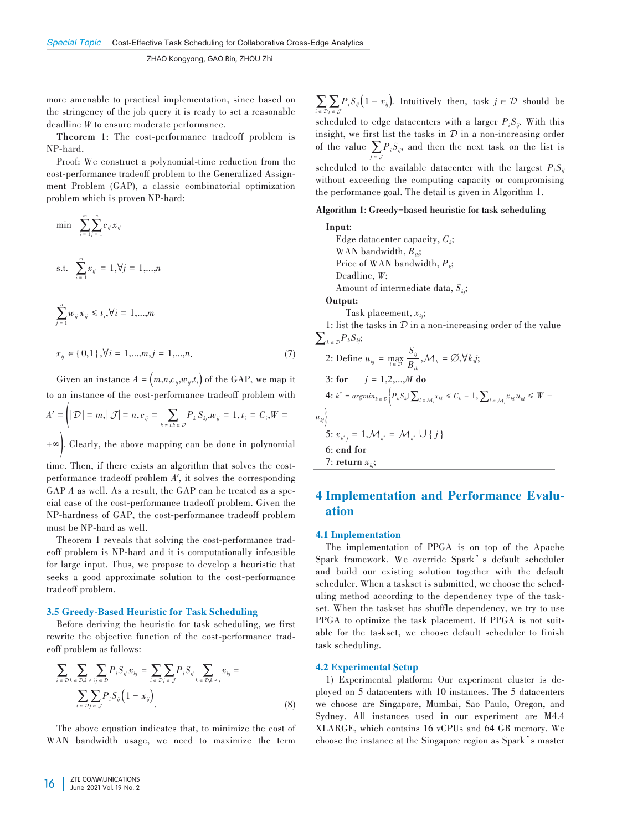more amenable to practical implementation, since based on the stringency of the job query it is ready to set a reasonable deadline *W* to ensure moderate performance.

**Theorem 1:** The cost-performance tradeoff problem is NP-hard.

Proof: We construct a polynomial-time reduction from the cost-performance tradeoff problem to the Generalized Assignment Problem (GAP), a classic combinatorial optimization problem which is proven NP-hard:

min 
$$
\sum_{i=1}^{m} \sum_{j=1}^{n} c_{ij} x_{ij}
$$
  
s.t.  $\sum_{i=1}^{m} x_{ij} = 1, \forall j = 1,...,n$   
 $\sum_{j=1}^{n} w_{ij} x_{ij} \le t_i, \forall i = 1,...,m$ 

$$
x_{ij} \in \{0,1\}, \forall i = 1,...,m, j = 1,...,n. \tag{7}
$$

Given an instance  $A = (m,n,c_{ij},w_{ij},t_i)$  of the GAP, we map it to an instance of the cost-performance tradeoff problem with  $A' = (|D| = m, |\mathcal{J}| = n, c_{ij} = \sum_{k \neq i, k \in |\mathcal{D}|} P_k S_{kj}, w_{ij} = 1, t_i = C_i, W =$ +∞). Clearly, the above mapping can be done in polynomial

time. Then, if there exists an algorithm that solves the costperformance tradeoff problem *A'*, it solves the corresponding GAP *A* as well. As a result, the GAP can be treated as a special case of the cost-performance tradeoff problem. Given the NP-hardness of GAP, the cost-performance tradeoff problem must be NP-hard as well.

Theorem 1 reveals that solving the cost-performance tradeoff problem is NP-hard and it is computationally infeasible for large input. Thus, we propose to develop a heuristic that seeks a good approximate solution to the cost-performance tradeoff problem.

#### 3.5 Greedy-Based Heuristic for Task Scheduling

Before deriving the heuristic for task scheduling, we first rewrite the objective function of the cost-performance tradeoff problem as follows:

$$
\sum_{i \in \mathcal{D}} \sum_{k \in \mathcal{D}} \sum_{k \neq ij \in \mathcal{D}} P_i S_{ij} x_{kj} = \sum_{i \in \mathcal{D}} \sum_{j \in \mathcal{J}} P_i S_{ij} \sum_{k \in \mathcal{D}, k \neq i} x_{kj} =
$$
\n
$$
\sum_{i \in \mathcal{D}} \sum_{j \in \mathcal{J}} P_i S_{ij} \left( 1 - x_{ij} \right).
$$
\n(8)

The above equation indicates that, to minimize the cost of WAN bandwidth usage, we need to maximize the term  $\sum_{i \in \mathcal{D}} \sum_{j \in \mathcal{J}} P_i S_{ij} (1 - x_{ij})$ . Intuitively then, task  $j \in \mathcal{D}$  should be scheduled to edge datacenters with a larger  $P_i S_{ij}$ . With this insight, we first list the tasks in  $D$  in a non-increasing order of the value  $\sum_{j \in \mathcal{J}} P_i S_{ij}$ , and then the next task on the list is scheduled to the available datacenter with the largest  $P_i S_i$ without exceeding the computing capacity or compromising the performance goal. The detail is given in Algorithm 1.

#### **Algorithm 1: Greedy-based heuristic for task scheduling**

**Input:** Edge datacenter capacity,  $C_k$ ; WAN bandwidth,  $B_{ik}$ ; Price of WAN bandwidth,  $P_k$ ; Deadline, *W*; Amount of intermediate data, *Skj* ; **Output:** Task placement, *xkj* ; 1: list the tasks in  $D$  in a non-increasing order of the value  $\sum_{k \in \mathcal{D}} P_k S_{kj}$ 2: Define  $u_{kj} = \max_{i \in \mathcal{D}} \frac{S_{ij}}{B_{ii}}$  $\frac{y}{B_{ik}}$ , $\mathcal{M}_k = \emptyset$ , $\forall k$ , $j$ ; 3: **for**  $j = 1, 2, ..., M$  **do**  $4: k^* = argmin_{k \in \mathcal{D}} \Big\{ P_k S_{kj} \Big\} \sum_{l \in \mathcal{M}_i} X_{kl} \leq C_k - 1, \sum_{l \in \mathcal{M}_i} X_{kl} u_{kl} \leq W - 1$  $u_{kj}$ }  $5: x_{k^*j} = 1, \mathcal{M}_{k^*} = \mathcal{M}_{k^*} \cup \{j\}$ 6: **end for** 7: **return**  $x_{kj}$ ;

# 4 Implementation and Performance Evaluation

#### 4.1 Implementation

The implementation of PPGA is on top of the Apache Spark framework. We override Spark's default scheduler and build our existing solution together with the default scheduler. When a taskset is submitted, we choose the scheduling method according to the dependency type of the taskset. When the taskset has shuffle dependency, we try to use PPGA to optimize the task placement. If PPGA is not suitable for the taskset, we choose default scheduler to finish task scheduling.

#### 4.2 Experimental Setup

1) Experimental platform: Our experiment cluster is deployed on 5 datacenters with 10 instances. The 5 datacenters we choose are Singapore, Mumbai, Sao Paulo, Oregon, and Sydney. All instances used in our experiment are M4.4 XLARGE, which contains 16 vCPUs and 64 GB memory. We choose the instance at the Singapore region as Spark's master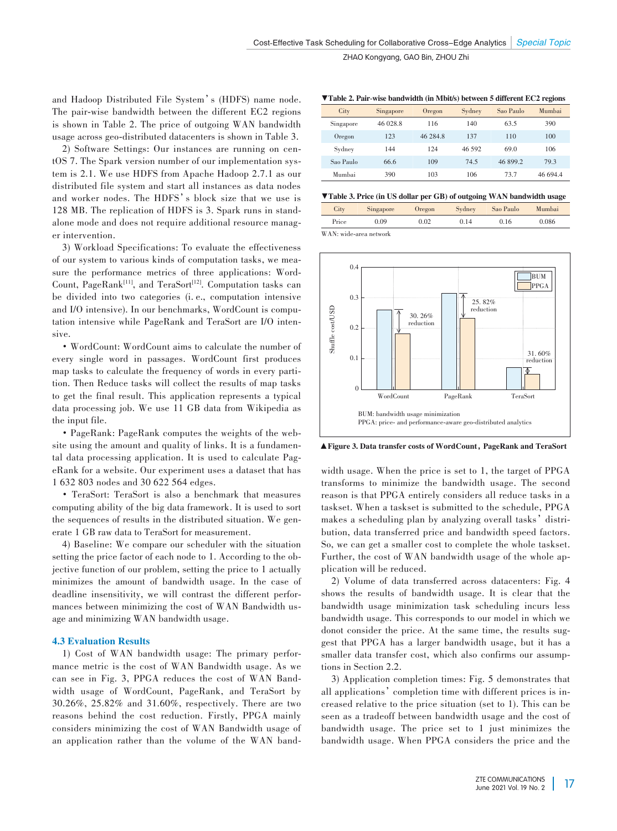and Hadoop Distributed File System's (HDFS) name node. The pair-wise bandwidth between the different EC2 regions is shown in Table 2. The price of outgoing WAN bandwidth usage across geo-distributed datacenters is shown in Table 3.

2) Software Settings: Our instances are running on centOS 7. The Spark version number of our implementation system is 2.1. We use HDFS from Apache Hadoop 2.7.1 as our distributed file system and start all instances as data nodes and worker nodes. The HDFS's block size that we use is 128 MB. The replication of HDFS is 3. Spark runs in standalone mode and does not require additional resource manager intervention.

3) Workload Specifications: To evaluate the effectiveness of our system to various kinds of computation tasks, we mea‑ sure the performance metrics of three applications: Word-Count,  $PageRank<sup>[11]</sup>$ , and  $TeraSort<sup>[12]</sup>$ . Computation tasks can be divided into two categories (i. e., computation intensive and I/O intensive). In our benchmarks, WordCount is computation intensive while PageRank and TeraSort are I/O intensive.

• WordCount: WordCount aims to calculate the number of every single word in passages. WordCount first produces map tasks to calculate the frequency of words in every partition. Then Reduce tasks will collect the results of map tasks to get the final result. This application represents a typical data processing job. We use 11 GB data from Wikipedia as the input file.

• PageRank: PageRank computes the weights of the website using the amount and quality of links. It is a fundamental data processing application. It is used to calculate PageRank for a website. Our experiment uses a dataset that has 1 632 803 nodes and 30 622 564 edges.

• TeraSort: TeraSort is also a benchmark that measures computing ability of the big data framework. It is used to sort the sequences of results in the distributed situation. We generate 1 GB raw data to TeraSort for measurement.

4) Baseline: We compare our scheduler with the situation setting the price factor of each node to 1. According to the objective function of our problem, setting the price to 1 actually minimizes the amount of bandwidth usage. In the case of deadline insensitivity, we will contrast the different performances between minimizing the cost of WAN Bandwidth usage and minimizing WAN bandwidth usage.

## 4.3 Evaluation Results

1) Cost of WAN bandwidth usage: The primary perfor‑ mance metric is the cost of WAN Bandwidth usage. As we can see in Fig. 3, PPGA reduces the cost of WAN Bandwidth usage of WordCount, PageRank, and TeraSort by 30.26%, 25.82% and 31.60%, respectively. There are two reasons behind the cost reduction. Firstly, PPGA mainly considers minimizing the cost of WAN Bandwidth usage of an application rather than the volume of the WAN band-

▼Table 2. Pair-wise bandwidth (in Mbit/s) between 5 different EC2 regions

| City      | Singapore | Oregon   | Sydney | Sao Paulo | Mumbai   |
|-----------|-----------|----------|--------|-----------|----------|
| Singapore | 46 028.8  | 116      | 140    | 63.5      | 390      |
| Oregon    | 123       | 46 284.8 | 137    | 110       | 100      |
| Sydney    | 144       | 124      | 46.592 | 69.0      | 106      |
| Sao Paulo | 66.6      | 109      | 74.5   | 46 899.2  | 79.3     |
| Mumbai    | 390       | 103      | 106    | 73.7      | 46 694.4 |

▼Table 3. Price (in US dollar per GB) of outgoing WAN bandwidth usage

| City  | Singapore | Oregon | Sydney | Sao Paulo | Mumbai |
|-------|-----------|--------|--------|-----------|--------|
| Price | 0.09      | 0.02   | 0.14   | 0.16      | 0.086  |

WAN: wide-area network



▲Figure 3. Data transfer costs of WordCount, PageRank and TeraSort

width usage. When the price is set to 1, the target of PPGA transforms to minimize the bandwidth usage. The second reason is that PPGA entirely considers all reduce tasks in a taskset. When a taskset is submitted to the schedule, PPGA makes a scheduling plan by analyzing overall tasks' distribution, data transferred price and bandwidth speed factors. So, we can get a smaller cost to complete the whole taskset. Further, the cost of WAN bandwidth usage of the whole application will be reduced.

2) Volume of data transferred across datacenters: Fig. 4 shows the results of bandwidth usage. It is clear that the bandwidth usage minimization task scheduling incurs less bandwidth usage. This corresponds to our model in which we donot consider the price. At the same time, the results suggest that PPGA has a larger bandwidth usage, but it has a smaller data transfer cost, which also confirms our assumptions in Section 2.2.

3) Application completion times: Fig. 5 demonstrates that all applications' completion time with different prices is increased relative to the price situation (set to 1). This can be seen as a tradeoff between bandwidth usage and the cost of bandwidth usage. The price set to 1 just minimizes the bandwidth usage. When PPGA considers the price and the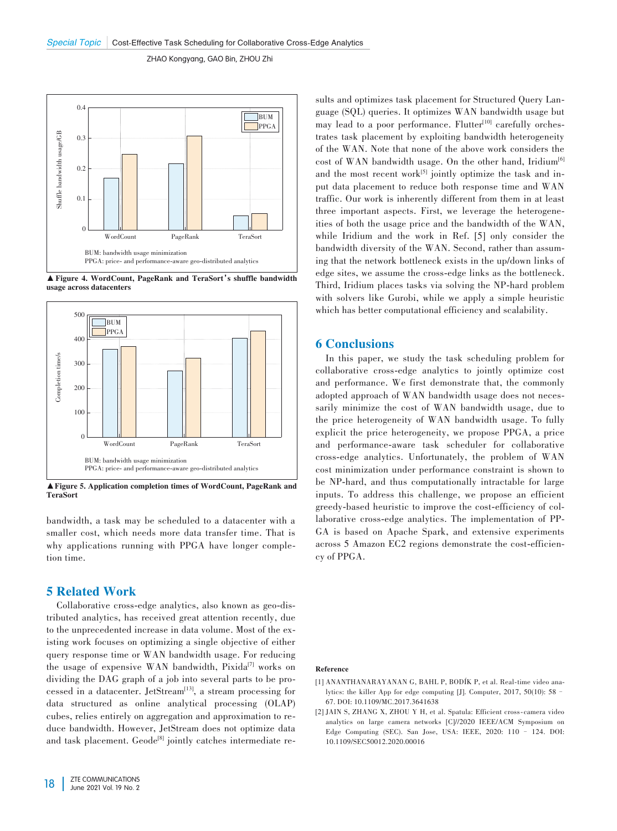

▲Figure 4. WordCount, PageRank and TeraSort's shuffle bandwidth usage across datacenters



▲Figure 5. Application completion times of WordCount, PageRank and TeraSort

bandwidth, a task may be scheduled to a datacenter with a smaller cost, which needs more data transfer time. That is why applications running with PPGA have longer completion time.

# 5 Related Work

Collaborative cross-edge analytics, also known as geo-dis‑ tributed analytics, has received great attention recently, due to the unprecedented increase in data volume. Most of the existing work focuses on optimizing a single objective of either query response time or WAN bandwidth usage. For reducing the usage of expensive WAN bandwidth, Pixida<sup>[7]</sup> works on dividing the DAG graph of a job into several parts to be processed in a datacenter. JetStream<sup>[13]</sup>, a stream processing for data structured as online analytical processing (OLAP) cubes, relies entirely on aggregation and approximation to re‑ duce bandwidth. However, JetStream does not optimize data and task placement. Geode<sup>[8]</sup> jointly catches intermediate re-

sults and optimizes task placement for Structured Query Language (SQL) queries. It optimizes WAN bandwidth usage but may lead to a poor performance. Flutter<sup>[10]</sup> carefully orchestrates task placement by exploiting bandwidth heterogeneity of the WAN. Note that none of the above work considers the cost of WAN bandwidth usage. On the other hand, Iridium<sup>[6]</sup> and the most recent work $[5]$  jointly optimize the task and input data placement to reduce both response time and WAN traffic. Our work is inherently different from them in at least three important aspects. First, we leverage the heterogeneities of both the usage price and the bandwidth of the WAN, while Iridium and the work in Ref. [5] only consider the bandwidth diversity of the WAN. Second, rather than assuming that the network bottleneck exists in the up/down links of edge sites, we assume the cross-edge links as the bottleneck. Third, Iridium places tasks via solving the NP-hard problem with solvers like Gurobi, while we apply a simple heuristic which has better computational efficiency and scalability.

## 6 Conclusions

In this paper, we study the task scheduling problem for collaborative cross-edge analytics to jointly optimize cost and performance. We first demonstrate that, the commonly adopted approach of WAN bandwidth usage does not necessarily minimize the cost of WAN bandwidth usage, due to the price heterogeneity of WAN bandwidth usage. To fully explicit the price heterogeneity, we propose PPGA, a price and performance-aware task scheduler for collaborative cross-edge analytics. Unfortunately, the problem of WAN cost minimization under performance constraint is shown to be NP-hard, and thus computationally intractable for large inputs. To address this challenge, we propose an efficient greedy-based heuristic to improve the cost-efficiency of collaborative cross-edge analytics. The implementation of PP‑ GA is based on Apache Spark, and extensive experiments across 5 Amazon EC2 regions demonstrate the cost-efficiency of PPGA.

#### Reference

- [1] ANANTHANARAYANAN G, BAHL P, BODÍK P, et al. Real-time video analytics: the killer App for edge computing [J]. Computer, 2017, 50(10): 58– 67. DOI: 10.1109/MC.2017.3641638
- [2] JAIN S, ZHANG X, ZHOU Y H, et al. Spatula: Efficient cross-camera video analytics on large camera networks [C]//2020 IEEE/ACM Symposium on Edge Computing (SEC). San Jose, USA: IEEE, 2020: 110 – 124. DOI: 10.1109/SEC50012.2020.00016